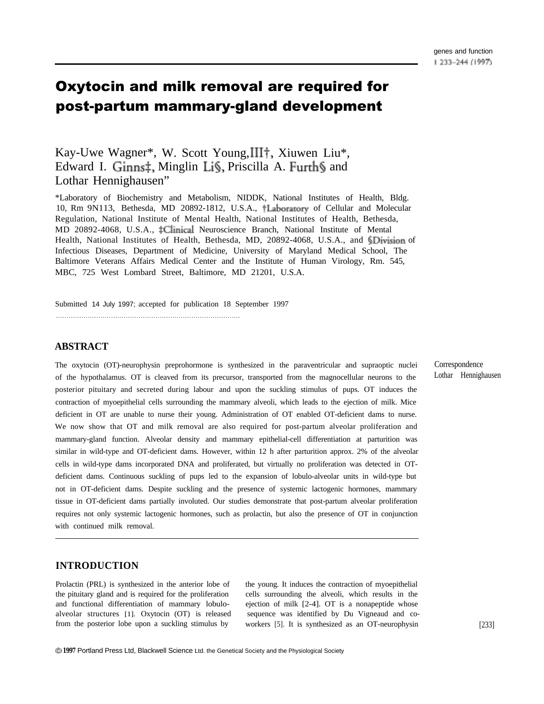# Oxytocin and milk removal are required for post-partum mammary-gland development

## Kay-Uwe Wagner\*, W. Scott Young, III†, Xiuwen Liu\*, Edward I. Ginns‡, Minglin Li§, Priscilla A. Furth§ and Lothar Hennighausen"

\*Laboratory of Biochemistry and Metabolism, NIDDK, National Institutes of Health, Bldg. 10, Rm 9N113, Bethesda, MD 20892-1812, U.S.A., †Laboratory of Cellular and Molecular Regulation, National Institute of Mental Health, National Institutes of Health, Bethesda, MD 20892-4068, U.S.A.,  $\ddagger$ Clinical Neuroscience Branch, National Institute of Mental Health, National Institutes of Health, Bethesda, MD, 20892-4068, U.S.A., and  $\overline{\text{5Division}}$  of Infectious Diseases, Department of Medicine, University of Maryland Medical School, The Baltimore Veterans Affairs Medical Center and the Institute of Human Virology, Rm. 545, MBC, 725 West Lombard Street, Baltimore, MD 21201, U.S.A.

Submitted 14 July 1997; accepted for publication 18 September 1997

. . . . . . . . . . . . . . . . . . . . . . . . . . . . . . . . . . . . . . . . . . . . . . . . . . . . . . . . . . . . . . . . . . . . . . . . . . . . . . . . . . . . . . .

#### **ABSTRACT**

The oxytocin (OT)-neurophysin preprohormone is synthesized in the paraventricular and supraoptic nuclei of the hypothalamus. OT is cleaved from its precursor, transported from the magnocellular neurons to the posterior pituitary and secreted during labour and upon the suckling stimulus of pups. OT induces the contraction of myoepithelial cells surrounding the mammary alveoli, which leads to the ejection of milk. Mice deficient in OT are unable to nurse their young. Administration of OT enabled OT-deficient dams to nurse. We now show that OT and milk removal are also required for post-partum alveolar proliferation and mammary-gland function. Alveolar density and mammary epithelial-cell differentiation at parturition was similar in wild-type and OT-deficient dams. However, within 12 h after parturition approx. 2% of the alveolar cells in wild-type dams incorporated DNA and proliferated, but virtually no proliferation was detected in OTdeficient dams. Continuous suckling of pups led to the expansion of lobulo-alveolar units in wild-type but not in OT-deficient dams. Despite suckling and the presence of systemic lactogenic hormones, mammary tissue in OT-deficient dams partially involuted. Our studies demonstrate that post-partum alveolar proliferation requires not only systemic lactogenic hormones, such as prolactin, but also the presence of OT in conjunction with continued milk removal.

### **INTRODUCTION**

the pituitary gland and is required for the proliferation cells surrounding the alveoli, which results in the and functional differentiation of mammary lobulo- ejection of milk [2-4]. OT is a nonapeptide whose alveolar structures [1]. Oxytocin (OT) is released sequence was identified by Du Vigneaud and cofrom the posterior lobe upon a suckling stimulus by workers [5]. It is synthesized as an OT-neurophysin [233]

Prolactin (PRL) is synthesized in the anterior lobe of the young. It induces the contraction of myoepithelial

Correspondence Lothar Hennighausen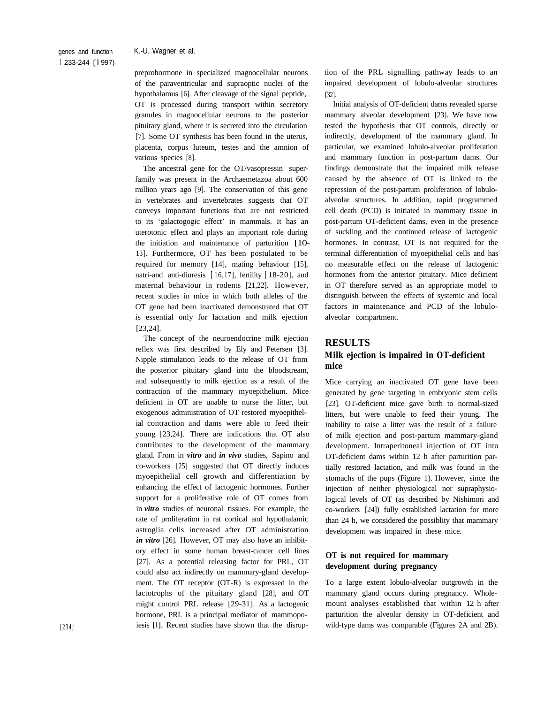preprohormone in specialized magnocellular neurons of the paraventricular and supraoptic nuclei of the hypothalamus [6]. After cleavage of the signal peptide, OT is processed during transport within secretory granules in magnocellular neurons to the posterior pituitary gland, where it is secreted into the circulation [7]. Some OT synthesis has been found in the uterus, placenta, corpus luteum, testes and the amnion of various species [8].

The ancestral gene for the OT/vasopressin superfamily was present in the Archaemetazoa about 600 million years ago [9]. The conservation of this gene in vertebrates and invertebrates suggests that OT conveys important functions that are not restricted to its 'galactogogic effect' in mammals. It has an uterotonic effect and plays an important role during the initiation and maintenance of parturition [10- 13]. Furthermore, OT has been postulated to be required for memory [14], mating behaviour [15], natri-and anti-diuresis [ 16,17], fertility [ 18-20], and maternal behaviour in rodents [21,22]. However, recent studies in mice in which both alleles of the OT gene had been inactivated demonstrated that OT is essential only for lactation and milk ejection [23,24].

The concept of the neuroendocrine milk ejection reflex was first described by Ely and Petersen [3]. Nipple stimulation leads to the release of OT from the posterior pituitary gland into the bloodstream, and subsequently to milk ejection as a result of the contraction of the mammary myoepithelium. Mice deficient in OT are unable to nurse the litter, but exogenous administration of OT restored myoepithelial contraction and dams were able to feed their young [23,24]. There are indications that OT also contributes to the development of the mammary gland. From in *vitro* and *in vivo* studies, Sapino and co-workers [25] suggested that OT directly induces myoepithelial cell growth and differentiation by enhancing the effect of lactogenic hormones. Further support for a proliferative role of OT comes from in *vitro* studies of neuronal tissues. For example, the rate of proliferation in rat cortical and hypothalamic astroglia cells increased after OT administration *in vitro* [26]. However, OT may also have an inhibitory effect in some human breast-cancer cell lines [27]. As a potential releasing factor for PRL, OT could also act indirectly on mammary-gland development. The OT receptor (OT-R) is expressed in the lactotrophs of the pituitary gland [28], and OT might control PRL release [29-31]. As a lactogenic hormone, PRL is a principal mediator of mammopoiesis [l]. Recent studies have shown that the disruption of the PRL signalling pathway leads to an impaired development of lobulo-alveolar structures [32].

Initial analysis of OT-deficient darns revealed sparse mammary alveolar development [23]. We have now tested the hypothesis that OT controls, directly or indirectly, development of the mammary gland. In particular, we examined lobulo-alveolar proliferation and mammary function in post-partum dams. Our findings demonstrate that the impaired milk release caused by the absence of OT is linked to the repression of the post-partum proliferation of lobuloalveolar structures. In addition, rapid programmed cell death (PCD) is initiated in mammary tissue in post-partum OT-deficient dams, even in the presence of suckling and the continued release of lactogenic hormones. In contrast, OT is not required for the terminal differentiation of myoepithelial cells and has no measurable effect on the release of lactogenic hormones from the anterior pituitary. Mice deficient in OT therefore served as an appropriate model to distinguish between the effects of systemic and local factors in maintenance and PCD of the lobuloalveolar compartment.

#### **RESULTS**

#### **Milk ejection is impaired in OT-deficient mice**

Mice carrying an inactivated OT gene have been generated by gene targeting in embryonic stem cells [23]. OT-deficient mice gave birth to normal-sized litters, but were unable to feed their young. The inability to raise a litter was the result of a failure of milk ejection and post-partum mammary-gland development. Intraperitoneal injection of OT into OT-deficient dams within 12 h after parturition partially restored lactation, and milk was found in the stomachs of the pups (Figure 1). However, since the injection of neither physiological nor supraphysiological levels of OT (as described by Nishimori and co-workers [24]) fully established lactation for more than 24 h, we considered the possiblity that mammary development was impaired in these mice.

### **OT is not required for mammary development during pregnancy**

To a large extent lobulo-alveolar outgrowth in the mammary gland occurs during pregnancy. Wholemount analyses established that within 12 h after parturition the alveolar density in OT-deficient and wild-type dams was comparable (Figures 2A and 2B).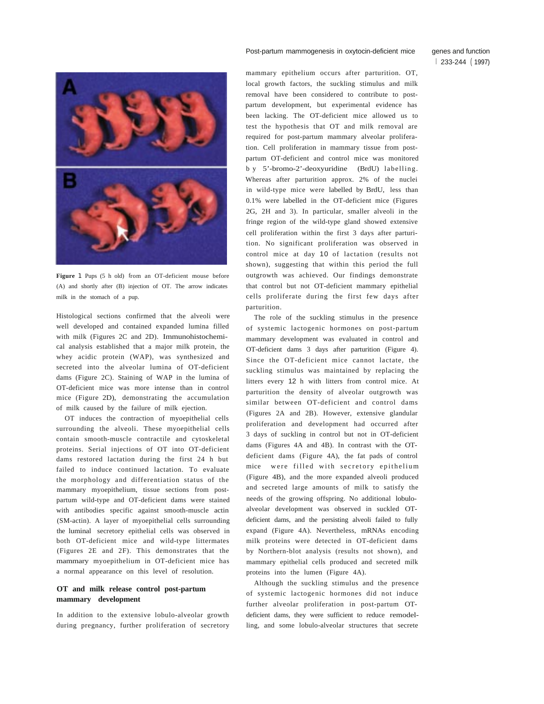#### Post-partum mammogenesis in oxytocin-deficient mice genes and function

**Figure** 1 Pups (5 h old) from an OT-deficient mouse before (A) and shortly after (B) injection of OT. The arrow indicates milk in the stomach of a pup.

Histological sections confirmed that the alveoli were well developed and contained expanded lumina filled with milk (Figures 2C and 2D). Immunohistochemical analysis established that a major milk protein, the whey acidic protein (WAP), was synthesized and secreted into the alveolar lumina of OT-deficient dams (Figure 2C). Staining of WAP in the lumina of OT-deficient mice was more intense than in control mice (Figure 2D), demonstrating the accumulation of milk caused by the failure of milk ejection.

OT induces the contraction of myoepithelial cells surrounding the alveoli. These myoepithelial cells contain smooth-muscle contractile and cytoskeletal proteins. Serial injections of OT into OT-deficient dams restored lactation during the first 24 h but failed to induce continued lactation. To evaluate the morphology and differentiation status of the mammary myoepithelium, tissue sections from postpartum wild-type and OT-deficient dams were stained with antibodies specific against smooth-muscle actin (SM-actin). A layer of myoepithelial cells surrounding the luminal secretory epithelial cells was observed in both OT-deficient mice and wild-type littermates (Figures 2E and 2F). This demonstrates that the mammary myoepithelium in OT-deficient mice has a normal appearance on this level of resolution.

#### **OT and milk release control post-partum mammary development**

In addition to the extensive lobulo-alveolar growth during pregnancy, further proliferation of secretory

mammary epithelium occurs after parturition. OT, local growth factors, the suckling stimulus and milk removal have been considered to contribute to postpartum development, but experimental evidence has been lacking. The OT-deficient mice allowed us to test the hypothesis that OT and milk removal are required for post-partum mammary alveolar proliferation. Cell proliferation in mammary tissue from postpartum OT-deficient and control mice was monitored b y 5'-bromo-2'-deoxyuridine (BrdU) labelling. Whereas after parturition approx. 2% of the nuclei in wild-type mice were labelled by BrdU, less than 0.1% were labelled in the OT-deficient mice (Figures 2G, 2H and 3). In particular, smaller alveoli in the fringe region of the wild-type gland showed extensive cell proliferation within the first 3 days after parturition. No significant proliferation was observed in control mice at day 10 of lactation (results not shown), suggesting that within this period the full outgrowth was achieved. Our findings demonstrate that control but not OT-deficient mammary epithelial cells proliferate during the first few days after parturition.

The role of the suckling stimulus in the presence of systemic lactogenic hormones on post-partum mammary development was evaluated in control and OT-deficient dams 3 days after parturition (Figure 4). Since the OT-deficient mice cannot lactate, the suckling stimulus was maintained by replacing the litters every 12 h with litters from control mice. At parturition the density of alveolar outgrowth was similar between OT-deficient and control dams (Figures 2A and 2B). However, extensive glandular proliferation and development had occurred after 3 days of suckling in control but not in OT-deficient dams (Figures 4A and 4B). In contrast with the OTdeficient dams (Figure 4A), the fat pads of control mice were filled with secretory epithelium (Figure 4B), and the more expanded alveoli produced and secreted large amounts of milk to satisfy the needs of the growing offspring. No additional lobuloalveolar development was observed in suckled OTdeficient dams, and the persisting alveoli failed to fully expand (Figure 4A). Nevertheless, mRNAs encoding milk proteins were detected in OT-deficient dams by Northern-blot analysis (results not shown), and mammary epithelial cells produced and secreted milk proteins into the lumen (Figure 4A).

Although the suckling stimulus and the presence of systemic lactogenic hormones did not induce further alveolar proliferation in post-partum OTdeficient dams, they were sufficient to reduce remodelling, and some lobulo-alveolar structures that secrete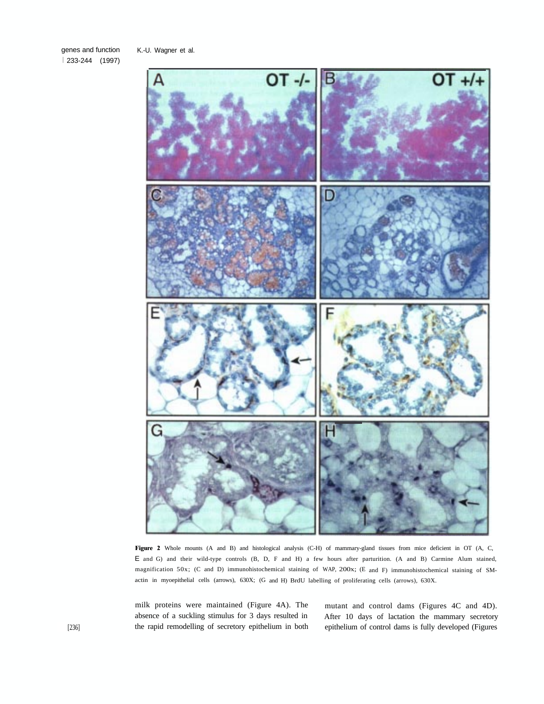genes and function I 233-244 (1997)

 $OT +/+$ OT -/-G

Figure 2 Whole mounts (A and B) and histological analysis (C-H) of mammary-gland tissues from mice deficient in OT (A, C, E and G) and their wild-type controls (B, D, F and H) a few hours after parturition. (A and B) Carmine Alum stained, magnification 50x; (C and D) immunohistochemical staining of WAP, 200x; (E and F) immunohistochemical staining of SMactin in myoepithelial cells (arrows), 630X; (G and H) BrdU labelling of proliferating cells (arrows), 630X.

milk proteins were maintained (Figure 4A). The mutant and control dams (Figures 4C and 4D).

absence of a suckling stimulus for 3 days resulted in After 10 days of lactation the mammary secretory the rapid remodelling of secretory epithelium in both epithelium of control dams is fully developed (Figures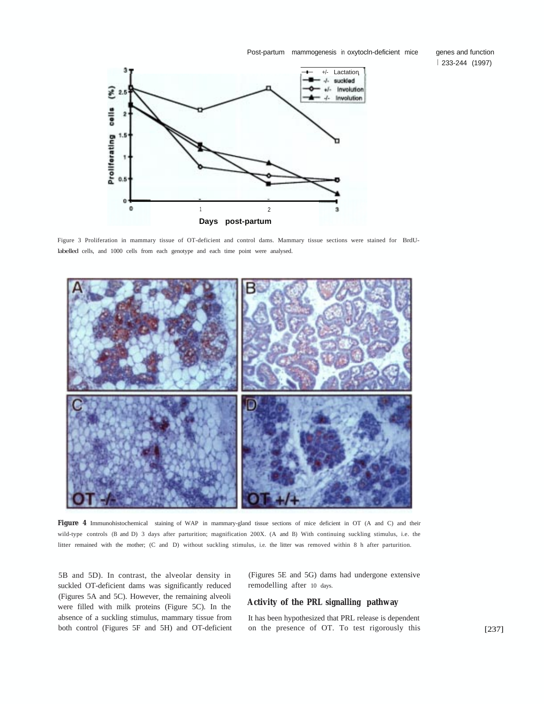Post-partum mammogenesis in oxytocln-deficient mice

genes and function I 233-244 (1997)



Figure 3 Proliferation in mammary tissue of OT-deficient and control dams. Mammary tissue sections were stained for BrdUlabelled cells, and 1000 cells from each genotype and each time point were analysed.



**Figure 4** Immunohistochemical staining of WAP in mammary-gland tissue sections of mice deficient in OT (A and C) and their wild-type controls (B and D) 3 days after parturition; magnification 200X. (A and B) With continuing suckling stimulus, i.e. the litter remained with the mother; (C and D) without suckling stimulus, i.e. the litter was removed within 8 h after parturition.

suckled OT-deficient dams was significantly reduced remodelling after 10 days. (Figures 5A and 5C). However, the remaining alveoli were filled with milk proteins (Figure 5C). In the **Activity of the PRL signalling pathway** absence of a suckling stimulus, mammary tissue from It has been hypothesized that PRL release is dependent both control (Figures 5F and 5H) and OT-deficient on the presence of OT. To test rigorously this

5B and 5D). In contrast, the alveolar density in (Figures 5E and 5G) dams had undergone extensive